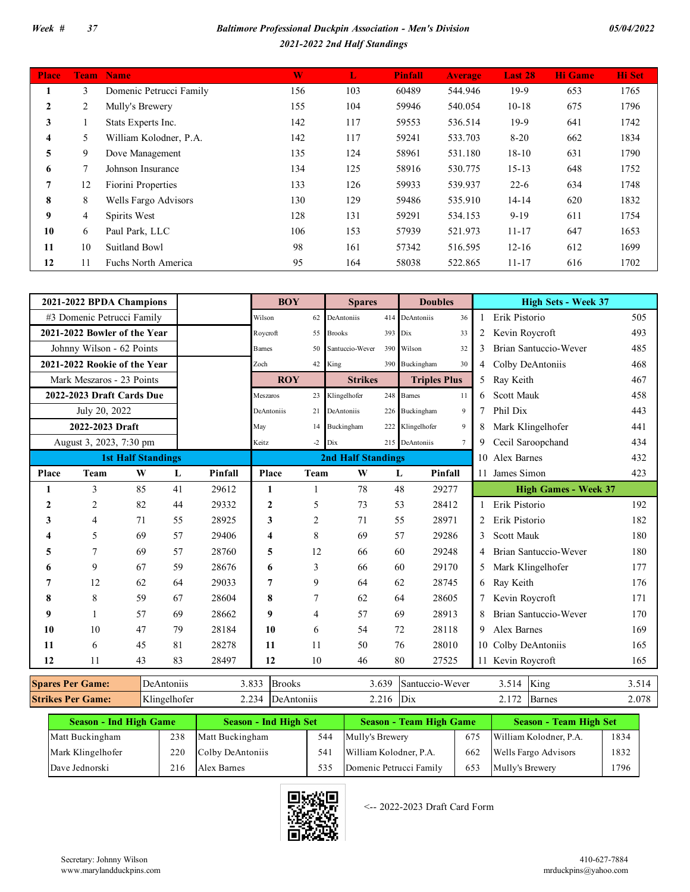## *Week # 37 Baltimore Professional Duckpin Association - Men's Division 2021-2022 2nd Half Standings*

| <b>Place</b> | <b>Team</b> | <b>Name</b>             | W   | L   | <b>Pinfall</b> | <b>Average</b> | Last 28   | <b>Hi</b> Game | <b>Hi</b> Set |
|--------------|-------------|-------------------------|-----|-----|----------------|----------------|-----------|----------------|---------------|
|              | 3           | Domenic Petrucci Family | 156 | 103 | 60489          | 544.946        | $19-9$    | 653            | 1765          |
| 2            | 2           | Mully's Brewery         | 155 | 104 | 59946          | 540.054        | $10-18$   | 675            | 1796          |
| 3            |             | Stats Experts Inc.      | 142 | 117 | 59553          | 536.514        | $19-9$    | 641            | 1742          |
| 4            | 5           | William Kolodner, P.A.  | 142 | 117 | 59241          | 533.703        | $8 - 20$  | 662            | 1834          |
| 5            | 9           | Dove Management         | 135 | 124 | 58961          | 531.180        | $18 - 10$ | 631            | 1790          |
| 6            | 7           | Johnson Insurance       | 134 | 125 | 58916          | 530.775        | $15 - 13$ | 648            | 1752          |
| 7            | 12          | Fiorini Properties      | 133 | 126 | 59933          | 539.937        | $22 - 6$  | 634            | 1748          |
| 8            | 8           | Wells Fargo Advisors    | 130 | 129 | 59486          | 535.910        | $14 - 14$ | 620            | 1832          |
| 9            | 4           | Spirits West            | 128 | 131 | 59291          | 534.153        | $9-19$    | 611            | 1754          |
| 10           | 6           | Paul Park, LLC          | 106 | 153 | 57939          | 521.973        | $11 - 17$ | 647            | 1653          |
| 11           | 10          | Suitland Bowl           | 98  | 161 | 57342          | 516.595        | $12 - 16$ | 612            | 1699          |
| 12           | 11          | Fuchs North America     | 95  | 164 | 58038          | 522.865        | $11 - 17$ | 616            | 1702          |

|                         | 2021-2022 BPDA Champions     |                           |            |         | <b>BOY</b>              |      | <b>Spares</b>             |         | <b>Doubles</b>                    |    | <b>High Sets - Week 37</b>  |       |
|-------------------------|------------------------------|---------------------------|------------|---------|-------------------------|------|---------------------------|---------|-----------------------------------|----|-----------------------------|-------|
|                         | #3 Domenic Petrucci Family   |                           |            |         | Wilson                  | 62   | DeAntoniis                |         | 414 DeAntoniis<br>36              |    | Erik Pistorio               | 505   |
|                         | 2021-2022 Bowler of the Year |                           |            |         | Roycroft                | 55   | <b>Brooks</b>             | 393 Dix | 33                                |    | Kevin Roycroft              | 493   |
|                         | Johnny Wilson - 62 Points    |                           |            |         | Barnes                  | 50   | Santuccio-Wever           |         | 390 Wilson<br>32                  |    | Brian Santuccio-Wever       | 485   |
|                         | 2021-2022 Rookie of the Year |                           |            |         | Zoch                    |      | 42 King                   |         | 390 Buckingham<br>30              | 4  | Colby DeAntoniis            | 468   |
|                         | Mark Meszaros - 23 Points    |                           |            |         | <b>ROY</b>              |      | <b>Strikes</b>            |         | <b>Triples Plus</b>               | 5  | Ray Keith                   | 467   |
|                         | 2022-2023 Draft Cards Due    |                           |            |         | <b>Meszaros</b>         |      | 23 Klingelhofer           |         | 248 Barnes<br>11                  | 6. | <b>Scott Mauk</b>           | 458   |
|                         | July 20, 2022                |                           |            |         | DeAntoniis              |      | 21 DeAntoniis             |         | 226 Buckingham<br>9               |    | Phil Dix                    | 443   |
|                         | 2022-2023 Draft              |                           |            |         | May                     | 14   | Buckingham                |         | 222 Klingelhofer<br>9             |    | Mark Klingelhofer           | 441   |
|                         | August 3, 2023, 7:30 pm      |                           |            |         | Keitz                   | $-2$ | Dix                       |         | 215 DeAntoniis<br>$7\phantom{.0}$ | 9  | Cecil Saroopchand           | 434   |
|                         |                              | <b>1st Half Standings</b> |            |         |                         |      | <b>2nd Half Standings</b> |         |                                   |    | 10 Alex Barnes              | 432   |
| Place                   | Team                         | W                         | L          | Pinfall | Place                   | Team | W                         |         | L<br>Pinfall                      |    | 11 James Simon              | 423   |
| 1                       | 3                            | 85                        | 41         | 29612   | 1                       |      | 78                        |         | 48<br>29277                       |    | <b>High Games - Week 37</b> |       |
| $\mathbf{2}$            | $\overline{2}$               | 82                        | 44         | 29332   | $\overline{2}$          | 5    | 73                        |         | 53<br>28412                       |    | 1 Erik Pistorio             | 192   |
| 3                       | 4                            | 71                        | 55         | 28925   | 3                       | 2    | 71                        |         | 55<br>28971                       |    | Erik Pistorio               | 182   |
| 4                       | 5                            | 69                        | 57         | 29406   | $\overline{\mathbf{4}}$ | 8    | 69                        |         | 57<br>29286                       | 3  | <b>Scott Mauk</b>           | 180   |
| 5                       |                              | 69                        | 57         | 28760   | 5                       | 12   | 66                        |         | 60<br>29248                       |    | Brian Santuccio-Wever       | 180   |
| 6                       | 9                            | 67                        | 59         | 28676   | 6                       | 3    | 66                        |         | 60<br>29170                       | 5  | Mark Klingelhofer           | 177   |
| 7                       | 12                           | 62                        | 64         | 29033   | $\overline{7}$          | 9    | 64                        |         | 28745<br>62                       | 6  | Ray Keith                   | 176   |
| 8                       | 8                            | 59                        | 67         | 28604   | 8                       | 7    | 62                        |         | 28605<br>64                       |    | Kevin Roycroft              | 171   |
| 9                       |                              | 57                        | 69         | 28662   | 9                       | 4    | 57                        |         | 28913<br>69                       |    | Brian Santuccio-Wever       | 170   |
| 10                      | 10                           | 47                        | 79         | 28184   | 10                      | 6    | 54                        |         | 28118<br>72                       | 9  | <b>Alex Barnes</b>          | 169   |
| 11                      | 6                            | 45                        | 81         | 28278   | 11                      | 11   | 50                        |         | 28010<br>76                       |    | 10 Colby DeAntoniis         | 165   |
| 12                      | 11                           | 43                        | 83         | 28497   | 12                      | 10   | 46                        |         | 27525<br>80                       |    | 11 Kevin Roycroft           | 165   |
| <b>Spares Per Game:</b> |                              |                           | DeAntoniis |         | 3.833<br><b>Brooks</b>  |      |                           | 3.639   | Santuccio-Wever                   |    | King<br>3.514               | 3.514 |

| Spares Per C<br>Game:         | DeAnton <sub>118</sub> | J.OJ.                  | <b>Brooks</b> | . < 4<br>، ن ن ر | <b>ISantuccio-Wever</b> | <u>.</u> | ∣Kıng              | <u>.</u> |
|-------------------------------|------------------------|------------------------|---------------|------------------|-------------------------|----------|--------------------|----------|
| <b>Strikes Per G</b><br>Game: | T/1<br>Klingelhofer    | $\sim$<br><u>_ . _</u> | <br>\nton11s  | ے ، ب            | Dix                     | $\sim$   | Barnes             | 2.078    |
| __                            | __                     |                        | __________    |                  | __<br>______            | __       | ________<br>$\sim$ |          |

| <b>Season - Ind High Game</b> |     | <b>Season - Ind High Set</b> |     | <b>Season - Team High Game</b> |     | <b>Season - Team High Set</b> |      |
|-------------------------------|-----|------------------------------|-----|--------------------------------|-----|-------------------------------|------|
| Matt Buckingham               | 238 | Matt Buckingham              | 544 | Mully's Brewery                | 675 | William Kolodner, P.A.        | 1834 |
| Mark Klingelhofer             | 220 | Colby DeAntoniis             | 541 | William Kolodner, P.A.         | 662 | Wells Fargo Advisors          | 1832 |
| Dave Jednorski                | 216 | Alex Barnes                  |     | Domenic Petrucci Family        | 653 | Mully's Brewery               | !796 |



<-- 2022-2023 Draft Card Form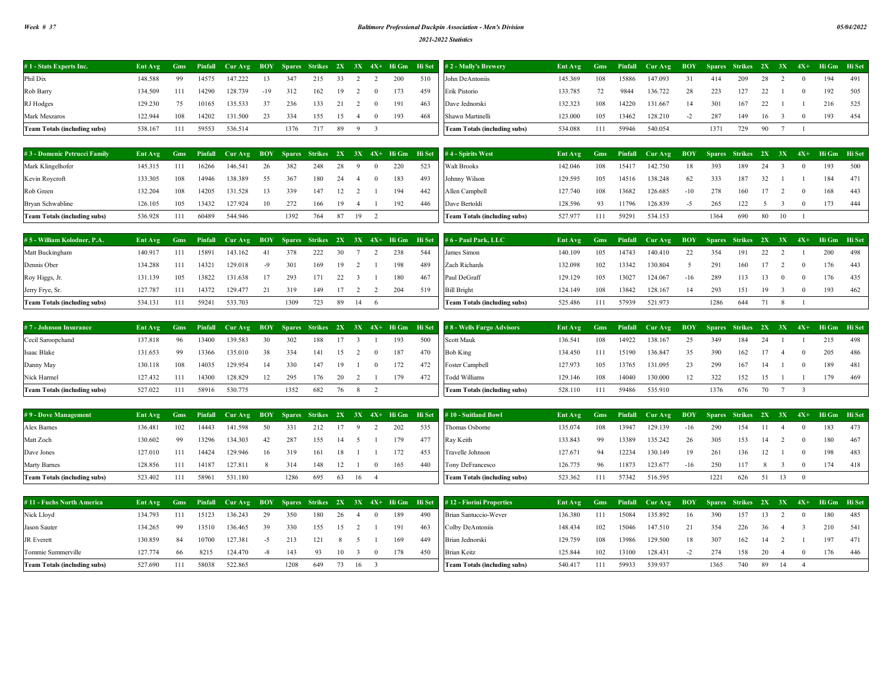## *Week # 37 Baltimore Professional Duckpin Association - Men's Division*

*2021-2022 Statistics*

| 148.588 | 14575                    | 147.222 | 13    | 347  | 215 | 33  |          | 200 | 510 | 145.369                                                                                                                                                                                                   | 108. | 15886 | 147.093 | 31.           | 414  | 209  |      | $\Omega$ | 194 | 491                                                                   |
|---------|--------------------------|---------|-------|------|-----|-----|----------|-----|-----|-----------------------------------------------------------------------------------------------------------------------------------------------------------------------------------------------------------|------|-------|---------|---------------|------|------|------|----------|-----|-----------------------------------------------------------------------|
| 134.509 | 14290                    | 128.739 | $-19$ | 312  | 162 | 19  |          | 173 | 459 | 133.785                                                                                                                                                                                                   |      | 9844  | 136.722 | 28.           | 223  | 127  |      |          | 192 | 505                                                                   |
| 129.230 | 10165                    | 135.533 | 37    | 236  | 133 |     |          | 191 | 463 | 132.323                                                                                                                                                                                                   | 108. | 14220 | 131.667 | 14            | 301  | -167 |      |          | 216 | 525                                                                   |
| 122.944 | 14202                    | 131.500 | 23    | 334  | 155 | 15  | $\Omega$ | 193 | 468 | 123.000                                                                                                                                                                                                   | 105  | 13462 | 128.210 | $\rightarrow$ | 287  | 149  | 16   | $\Omega$ | 193 | 454                                                                   |
| 538.167 | 59553                    | 536.514 |       | 1376 | 717 | -89 |          |     |     | 534.088                                                                                                                                                                                                   | 111  | 59946 | 540.054 |               | 1371 | 729  | -90- |          |     |                                                                       |
|         | -99<br>111<br>108<br>111 |         |       |      |     |     |          |     |     | Ent Avg Gms Pinfall Cur Avg BOY Spares Strikes 2X 3X 4X+ Hi Gm Hi Set #2-Mully's Brewery<br>John DeAntoniis<br>Erik Pistorio<br>Dave Jednorski<br>Shawn Martinelli<br><b>Team Totals (including subs)</b> |      |       |         |               |      |      |      |          |     | Ent Avg Gms Pinfall Cur Avg BOY Spares Strikes 2X 3X 4X+ Hi Gm Hi Set |

3 4

| #3 - Domenic Petrucci Family        |         |     |       |         |      |      |     |      |         |     |     |     | Ent Avg Gms Pinfall Cur Avg BOY Spares Strikes 2X 3X 4X+ Hi Gm Hi Set #4-Spirits West |         |      |       | Ent Avg Gms Pinfall Cur Avg BOY Spares Strikes 2X 3X 4X+ Hi Gm Hi Set |       |      |        |            |  |     |      |
|-------------------------------------|---------|-----|-------|---------|------|------|-----|------|---------|-----|-----|-----|---------------------------------------------------------------------------------------|---------|------|-------|-----------------------------------------------------------------------|-------|------|--------|------------|--|-----|------|
| Mark Klingelhofer                   | 145.315 |     | 16266 | 146.541 | 26   | 382  | 248 |      |         |     | 220 | 523 | <b>Walt Brooks</b>                                                                    | 142.046 | 108  | 15417 | 142.750                                                               | 18    | 393  | 189    | 24         |  | 193 | 500  |
| Kevin Roycroft                      | 133.305 | 108 | 14946 | 138.389 | 55   | 367  | 180 | 24   | -4      | (1) | 183 | 493 | Johnny Wilson                                                                         | 129.595 | 105  | 14516 | 138.248                                                               | - 62  | 333  | 187 32 |            |  | 184 | 471  |
| Rob Green                           | 132.204 | 108 | 14205 | 131.528 | - 13 | 339  | 147 | 12 2 |         |     | 194 | 442 | Allen Campbell                                                                        | 127 740 | 108. | 13682 | 126.685                                                               | $-10$ | 278  | 160    | $17 \quad$ |  | 168 | 443  |
| Bryan Schwabline                    | 126.105 | 105 | 13432 | 127.924 | 10   | 272  | 166 | 19   | 4       |     | 192 | 446 | Dave Bertoldi                                                                         | 128.596 | 93   | 11796 | 126.839                                                               | $-5$  | 265  | 122    |            |  | 173 | -444 |
| <b>Team Totals (including subs)</b> | 536.928 | 111 | 60489 | 544.946 |      | 1392 | 764 |      | 87 19 2 |     |     |     | <b>Team Totals (including subs)</b>                                                   | 527.977 | 111  | 59291 | 534.153                                                               |       | 1364 | 690    | 80 10      |  |     |      |

| # 5 - William Kolodner, P.A. | Ent Avg |      |       |         |      |      |     |     |      |     |      | Gms Pinfall Cur Avg BOY Spares Strikes 2X 3X 4X+ Hi Gm Hi Set #6-Paul Park, LLC | Ent Avg | <b>Gms</b> |       | Pinfall Cur Avg BOY Spares Strikes 2X 3X 4X+ Hi Gm Hi Set |       |      |     |     |  |     |     |
|------------------------------|---------|------|-------|---------|------|------|-----|-----|------|-----|------|---------------------------------------------------------------------------------|---------|------------|-------|-----------------------------------------------------------|-------|------|-----|-----|--|-----|-----|
| Matt Buckingham              | 140.917 | 111  | 15891 | 143.162 | -41  | 378  | 222 | 30. |      | 238 | 544  | James Simon                                                                     | 140.109 | 105        | 14743 | 140.410                                                   | 22    | 354  | 191 |     |  | 200 | 498 |
| Dennis Ober                  | 134.288 | 111  | 14321 | 129.018 |      | 301  | 169 | 19. |      | 198 | 489  | Zach Richards                                                                   | 132.098 | 102.       | 13342 | 130.804                                                   |       | 291  | 160 |     |  | 176 | 443 |
| Roy Higgs, Jr.               | 131.139 | 105  | 13822 | 131.638 | - 17 | 293  | 171 | 22  |      | 180 | -467 | Paul DeGraff                                                                    | 129.129 | 105        | 13027 | 124.067                                                   | $-16$ | 289  | 113 |     |  | 176 | 435 |
| Jerry Frye, Sr.              | 127.787 | 111  | 14372 | 129.477 |      | 319  | 149 |     |      | 204 | 519  | <b>Bill Bright</b>                                                              | 124.149 | 108.       | 13842 | 128.167                                                   | 14    | 293  | 151 | -19 |  | 193 | 462 |
| Team Totals (including subs) | 534.131 | -111 | 59241 | 533.703 |      | 1309 | 723 | -89 | - 14 |     |      | <b>Team Totals (including subs)</b>                                             | 525.486 | 111        | 57939 | 521.973                                                   |       | 1286 | 644 |     |  |     |     |

| #7 - Johnson Insurance              | Ent Avg |       |       |         |      |      |     |      |          |     |     | Gms Pinfall Cur Avg BOY Spares Strikes $2X$ 3X 4X+ Higm Higet #8 Wells Fargo Advisors |         |      |       | Ent Avg Gms Pinfall Cur Avg BOY Spares Strikes 2X 3X 4X+ Hi Gm Hi Set |    |      |     |    |  |     |     |
|-------------------------------------|---------|-------|-------|---------|------|------|-----|------|----------|-----|-----|---------------------------------------------------------------------------------------|---------|------|-------|-----------------------------------------------------------------------|----|------|-----|----|--|-----|-----|
| Cecil Saroopchand                   | 137.818 | - 96  | 13400 | 139.583 | -30  | 302  | 188 |      |          | 193 | 500 | Scott Mauk                                                                            | 136.541 | 108. | 14922 | 138.167                                                               | 25 | 349  | 184 |    |  | 215 | 498 |
| <b>Isaac Blake</b>                  | 131.653 | - 99  | 13366 | 135.010 | - 38 | 334  | 141 | 15 2 | $\sim$ 0 | 187 | 470 | <b>Bob King</b>                                                                       | 134.450 | 111  | 15190 | 136.847                                                               | 35 | 390  | 162 |    |  | 205 | 486 |
| Danny May                           | 130.118 | 108   | 14035 | 129.954 | -14  | 330  | 147 | 19   | $\sim$ 0 | 172 | 472 | Foster Campbell                                                                       | 127.973 | 105  | 13765 | 131.095                                                               | 23 | 299  | 167 |    |  | 189 | 481 |
| Nick Harmel                         | 127.432 | - 111 | 14300 | 128.829 |      | 295  | 176 | 20   |          | 179 | 472 | Todd Williams                                                                         | 129.146 | 108. | 14040 | 130,000                                                               | 12 | 322  | 152 | 15 |  | 179 | 469 |
| <b>Team Totals (including subs)</b> | 527.022 | - 111 | 58916 | 530.775 |      | 1352 | 682 |      |          |     |     | <b>Team Totals (including subs)</b>                                                   | 528.110 | 111. | 59486 | 535.910                                                               |    | 1376 | 676 |    |  |     |     |

| #9 - Dove Management                | Ent Avg |       |       |         |     |      |      |         |          |     |     | Gms Pinfall Cur Avg BOY Spares Strikes 2X 3X 4X+ Hi Gm Hi Set #10 - Suitland Bowl | Ent Avg |      |       | Gms Pinfall Cur Avg BOY Spares Strikes 2X 3X 4X+ Hi Gm Hi Set |       |      |      |     |       |     |       |
|-------------------------------------|---------|-------|-------|---------|-----|------|------|---------|----------|-----|-----|-----------------------------------------------------------------------------------|---------|------|-------|---------------------------------------------------------------|-------|------|------|-----|-------|-----|-------|
| Alex Barnes                         | 136.481 | 102   | 14443 | 141.598 | 50  | 331  | 212. |         |          | 202 | 535 | Thomas Osborne                                                                    | 135.074 | 108. | 13941 | 129.139                                                       | $-16$ | 290  | -154 |     |       | 183 | 473   |
| Matt Zoch                           | 130.602 | - 99  | 13296 | 134.303 | -42 | 287  | 155  |         |          | 179 | 477 | Ray Keith                                                                         | 133.843 | 99.  | 13389 | 135.242                                                       | 26    | 305  | 153  | -14 |       | 180 | - 467 |
| Dave Jones                          | 127.010 | - 111 | 14424 | 129.946 | -16 | 319  | 161  | 18      |          | 172 | 453 | Travelle Johnson                                                                  | 127.671 | 94   | 12234 | 130.149                                                       | 19    | 261  | 136  | 12  |       | 198 | 483   |
| Marty Barnes                        | 128.856 | - 111 | 14187 | 127.811 |     | 314  | 148  |         | $\Omega$ | 165 | 440 | Tony DeFrancesco                                                                  | 126,775 | 96   | 11873 | 123.677                                                       | $-16$ | 250  | 117  |     |       | 174 | 418   |
| <b>Team Totals (including subs)</b> | 523.402 | - 111 | 58961 | 531.180 |     | 1286 | 695  | 63 16 4 |          |     |     | <b>Team Totals (including subs)</b>                                               | 523.362 | 111  | 57342 | 516.595                                                       |       | 1221 | 626  |     | 51 13 |     |       |

| #11 - Fuchs North America           | Ent Avg |      |       |         |     |      |     |     |    |          |     |     | Gms Pinfall Cur Avg BOY Spares Strikes 2X 3X 4X+ Hi Gm Hi Set #12 - Fiorini Properties | Ent Avg | <b>Gms</b> |       | Pinfall Cur Avg BOY Spares Strikes 2X 3X 4X+ Hi Gm Hi Set |     |      |     |      |      |     |       |
|-------------------------------------|---------|------|-------|---------|-----|------|-----|-----|----|----------|-----|-----|----------------------------------------------------------------------------------------|---------|------------|-------|-----------------------------------------------------------|-----|------|-----|------|------|-----|-------|
| Nick Lloyd                          | 134.793 | 111  | 15123 | 136.243 |     | 350  | 180 | 26. |    |          | 189 | 490 | Brian Santuccio-Wever                                                                  | 136.380 | 111        | 15084 | 135.892                                                   | 16. | 390  | 157 |      |      | 180 | -485  |
| Jason Sauter                        | 134.265 | - 99 | 13510 | 136.465 | -39 | 330  | 155 | 15  |    |          | 191 | 463 | Colby DeAntoniis                                                                       | 148.434 | $102 -$    | 15046 | 147.510                                                   |     | 354  | 226 | -36- |      | 210 | - 541 |
| JR Everett                          | 130.859 | 84   | 10700 | 127.381 |     | 213  | 121 |     |    |          | 169 | 449 | Brian Jednorski                                                                        | 129.759 | 108        | 13986 | 129.500                                                   | 18. | 307  | 162 | -14  |      | 197 | 471   |
| Tommie Summerville                  | 127.774 | -66  | 8215  | 124.470 | -×  | 143  | 93  | 10  |    | $\theta$ | 178 | 450 | <b>Brian Keitz</b>                                                                     | 125.844 | 102        | 13100 | 128.431                                                   |     | 274  | 158 | -20- |      | 176 | -446  |
| <b>Team Totals (including subs)</b> | 527.690 | 111  | 58038 | 522.865 |     | 1208 | 649 | 73  | 16 |          |     |     | <b>Team Totals (including subs)</b>                                                    | 540.417 | 111        | 59933 | 539.937                                                   |     | 1365 | 740 | -89  | - 14 |     |       |